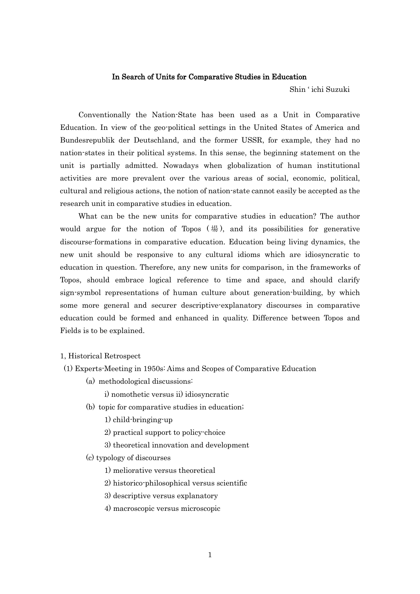## In Search of Units for Comparative Studies in Education

Shin ' ichi Suzuki

 Conventionally the Nation-State has been used as a Unit in Comparative Education. In view of the geo-political settings in the United States of America and Bundesrepublik der Deutschland, and the former USSR, for example, they had no nation-states in their political systems. In this sense, the beginning statement on the unit is partially admitted. Nowadays when globalization of human institutional activities are more prevalent over the various areas of social, economic, political, cultural and religious actions, the notion of nation-state cannot easily be accepted as the research unit in comparative studies in education.

 What can be the new units for comparative studies in education? The author would argue for the notion of Topos  $(\frac{11}{20})$ , and its possibilities for generative discourse-formations in comparative education. Education being living dynamics, the new unit should be responsive to any cultural idioms which are idiosyncratic to education in question. Therefore, any new units for comparison, in the frameworks of Topos, should embrace logical reference to time and space, and should clarify sign-symbol representations of human culture about generation-building, by which some more general and securer descriptive-explanatory discourses in comparative education could be formed and enhanced in quality. Difference between Topos and Fields is to be explained.

## 1, Historical Retrospect

- (1) Experts-Meeting in 1950s: Aims and Scopes of Comparative Education
	- (a) methodological discussions:
		- i) nomothetic versus ii) idiosyncratic
	- (b) topic for comparative studies in education;
		- 1) child-bringing-up
		- 2) practical support to policy-choice
		- 3) theoretical innovation and development
	- (c) typology of discourses
		- 1) meliorative versus theoretical
		- 2) historico-philosophical versus scientific
		- 3) descriptive versus explanatory
		- 4) macroscopic versus microscopic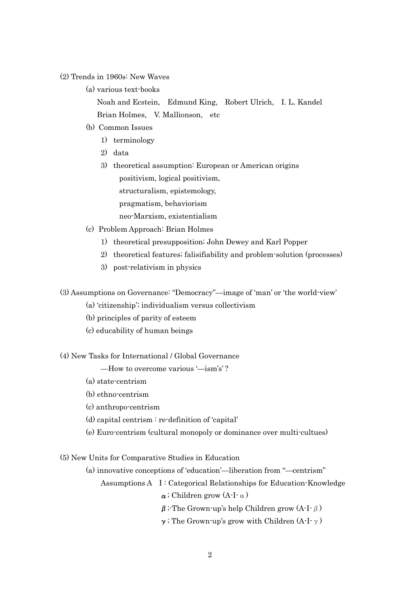(2) Trends in 1960s: New Waves

(a) various text-books

 Noah and Ecstein, Edmund King, Robert Ulrich, I. L. Kandel Brian Holmes, V. Mallionson, etc

- (b) Common Issues
	- 1) terminology
	- 2) data
	- 3) theoretical assumption: European or American origins positivism, logical positivism, structuralism, epistemology, pragmatism, behaviorism neo-Marxism, existentialism
- (c) Problem Approach: Brian Holmes
	- 1) theoretical presupposition; John Dewey and Karl Popper
	- 2) theoretical features; falisifiability and problem-solution (processes)
	- 3) post-relativism in physics

(3) Assumptions on Governance: "Democracy"—image of 'man' or 'the world-view'

- (a) 'citizenship'; individualism versus collectivism
- (b) principles of parity of esteem
- (c) educability of human beings

(4) New Tasks for International / Global Governance

—How to overcome various '—ism's' ?

- (a) state-centrism
- (b) ethno-centrism
- (c) anthropo-centrism
- (d) capital centrism : re-definition of 'capital'
- (e) Euro-centrism (cultural monopoly or dominance over multi-cultues)

(5) New Units for Comparative Studies in Education

(a) innovative conceptions of 'education'—liberation from "—centrism"

Assumptions A I : Categorical Relationships for Education-Knowledge

 $\alpha$ ; Children grow (A-I- $\alpha$ )

 $β$ ; The Grown-up's help Children grow  $(A-I<sup>-</sup>β)$ 

 $γ$ ; The Grown-up's grow with Children (A-I- $γ$ )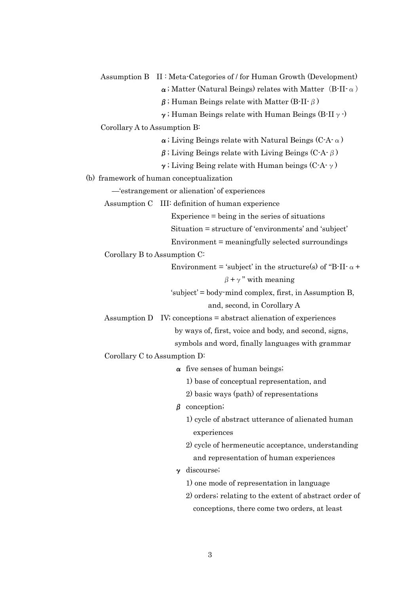Assumption B II : Meta-Categories of / for Human Growth (Development)  $\alpha$ ; Matter (Natural Beings) relates with Matter (B-II- $\alpha$ )  $β$ ; Human Beings relate with Matter (B-II- $β$ )  $\gamma$ ; Human Beings relate with Human Beings (B-II $\gamma$ ) Corollary A to Assumption B:  $\alpha$ ; Living Beings relate with Natural Beings (C-A- $\alpha$ )  $β$ ; Living Beings relate with Living Beings (C-A- $β$ ) γ; Living Being relate with Human beings  $(C-A-γ)$ (b) framework of human conceptualization —'estrangement or alienation' of experiences Assumption C III: definition of human experience Experience = being in the series of situations Situation = structure of 'environments' and 'subject' Environment = meaningfully selected surroundings Corollary B to Assumption C: Environment = 'subject' in the structure(s) of "B-II- $\alpha$  +  $\beta + \gamma$ " with meaning 'subject' = body-mind complex, first, in Assumption B, and, second, in Corollary A Assumption D IV; conceptions = abstract alienation of experiences by ways of, first, voice and body, and second, signs, symbols and word, finally languages with grammar Corollary C to Assumption D:  $\alpha$  five senses of human beings; 1) base of conceptual representation, and 2) basic ways (path) of representations β conception; 1) cycle of abstract utterance of alienated human experiences 2) cycle of hermeneutic acceptance, understanding and representation of human experiences γ discourse; 1) one mode of representation in language 2) orders; relating to the extent of abstract order of conceptions, there come two orders, at least